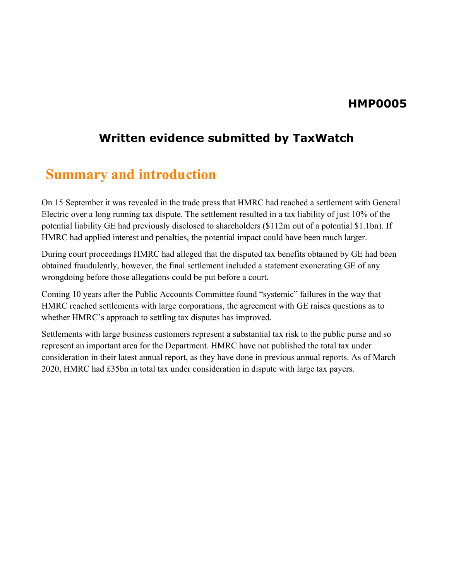#### **HMP0005**

#### **Written evidence submitted by TaxWatch**

## **Summary and introduction**

On 15 September it was revealed in the trade press that HMRC had reached a settlement with General Electric over a long running tax dispute. The settlement resulted in a tax liability of just 10% of the potential liability GE had previously disclosed to shareholders (\$112m out of a potential \$1.1bn). If HMRC had applied interest and penalties, the potential impact could have been much larger.

During court proceedings HMRC had alleged that the disputed tax benefits obtained by GE had been obtained fraudulently, however, the final settlement included a statement exonerating GE of any wrongdoing before those allegations could be put before a court.

Coming 10 years after the Public Accounts Committee found "systemic" failures in the way that HMRC reached settlements with large corporations, the agreement with GE raises questions as to whether HMRC's approach to settling tax disputes has improved.

Settlements with large business customers represent a substantial tax risk to the public purse and so represent an important area for the Department. HMRC have not published the total tax under consideration in their latest annual report, as they have done in previous annual reports. As of March 2020, HMRC had £35bn in total tax under consideration in dispute with large tax payers.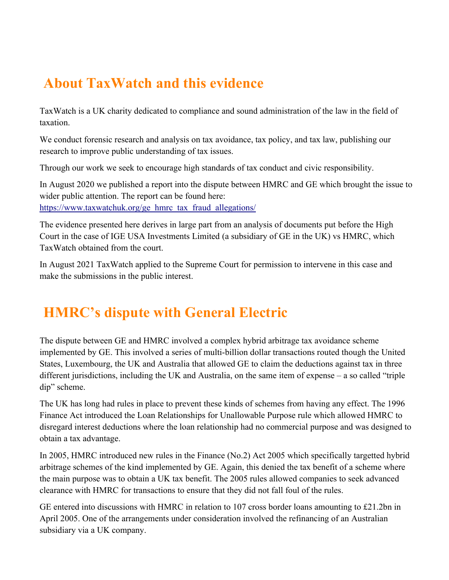# **About TaxWatch and this evidence**

TaxWatch is a UK charity dedicated to compliance and sound administration of the law in the field of taxation.

We conduct forensic research and analysis on tax avoidance, tax policy, and tax law, publishing our research to improve public understanding of tax issues.

Through our work we seek to encourage high standards of tax conduct and civic responsibility.

In August 2020 we published a report into the dispute between HMRC and GE which brought the issue to wider public attention. The report can be found here:

[https://www.taxwatchuk.org/ge\\_hmrc\\_tax\\_fraud\\_allegations/](https://www.taxwatchuk.org/ge_hmrc_tax_fraud_allegations/)

The evidence presented here derives in large part from an analysis of documents put before the High Court in the case of IGE USA Investments Limited (a subsidiary of GE in the UK) vs HMRC, which TaxWatch obtained from the court.

In August 2021 TaxWatch applied to the Supreme Court for permission to intervene in this case and make the submissions in the public interest.

# **HMRC's dispute with General Electric**

The dispute between GE and HMRC involved a complex hybrid arbitrage tax avoidance scheme implemented by GE. This involved a series of multi-billion dollar transactions routed though the United States, Luxembourg, the UK and Australia that allowed GE to claim the deductions against tax in three different jurisdictions, including the UK and Australia, on the same item of expense – a so called "triple dip" scheme.

The UK has long had rules in place to prevent these kinds of schemes from having any effect. The 1996 Finance Act introduced the Loan Relationships for Unallowable Purpose rule which allowed HMRC to disregard interest deductions where the loan relationship had no commercial purpose and was designed to obtain a tax advantage.

In 2005, HMRC introduced new rules in the Finance (No.2) Act 2005 which specifically targetted hybrid arbitrage schemes of the kind implemented by GE. Again, this denied the tax benefit of a scheme where the main purpose was to obtain a UK tax benefit. The 2005 rules allowed companies to seek advanced clearance with HMRC for transactions to ensure that they did not fall foul of the rules.

GE entered into discussions with HMRC in relation to 107 cross border loans amounting to £21.2bn in April 2005. One of the arrangements under consideration involved the refinancing of an Australian subsidiary via a UK company.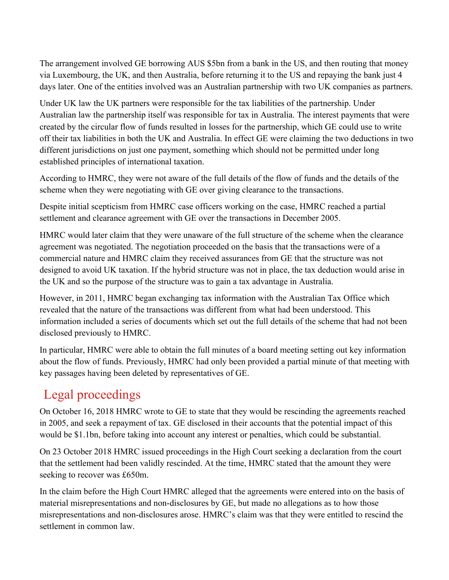The arrangement involved GE borrowing AUS \$5bn from a bank in the US, and then routing that money via Luxembourg, the UK, and then Australia, before returning it to the US and repaying the bank just 4 days later. One of the entities involved was an Australian partnership with two UK companies as partners.

Under UK law the UK partners were responsible for the tax liabilities of the partnership. Under Australian law the partnership itself was responsible for tax in Australia. The interest payments that were created by the circular flow of funds resulted in losses for the partnership, which GE could use to write off their tax liabilities in both the UK and Australia. In effect GE were claiming the two deductions in two different jurisdictions on just one payment, something which should not be permitted under long established principles of international taxation.

According to HMRC, they were not aware of the full details of the flow of funds and the details of the scheme when they were negotiating with GE over giving clearance to the transactions.

Despite initial scepticism from HMRC case officers working on the case, HMRC reached a partial settlement and clearance agreement with GE over the transactions in December 2005.

HMRC would later claim that they were unaware of the full structure of the scheme when the clearance agreement was negotiated. The negotiation proceeded on the basis that the transactions were of a commercial nature and HMRC claim they received assurances from GE that the structure was not designed to avoid UK taxation. If the hybrid structure was not in place, the tax deduction would arise in the UK and so the purpose of the structure was to gain a tax advantage in Australia.

However, in 2011, HMRC began exchanging tax information with the Australian Tax Office which revealed that the nature of the transactions was different from what had been understood. This information included a series of documents which set out the full details of the scheme that had not been disclosed previously to HMRC.

In particular, HMRC were able to obtain the full minutes of a board meeting setting out key information about the flow of funds. Previously, HMRC had only been provided a partial minute of that meeting with key passages having been deleted by representatives of GE.

## Legal proceedings

On October 16, 2018 HMRC wrote to GE to state that they would be rescinding the agreements reached in 2005, and seek a repayment of tax. GE disclosed in their accounts that the potential impact of this would be \$1.1bn, before taking into account any interest or penalties, which could be substantial.

On 23 October 2018 HMRC issued proceedings in the High Court seeking a declaration from the court that the settlement had been validly rescinded. At the time, HMRC stated that the amount they were seeking to recover was £650m.

In the claim before the High Court HMRC alleged that the agreements were entered into on the basis of material misrepresentations and non-disclosures by GE, but made no allegations as to how those misrepresentations and non-disclosures arose. HMRC's claim was that they were entitled to rescind the settlement in common law.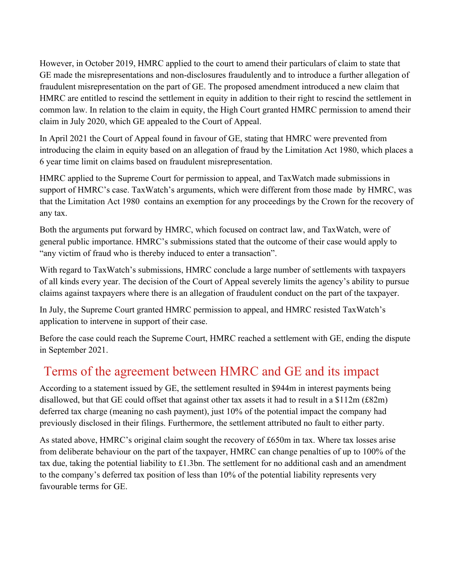However, in October 2019, HMRC applied to the court to amend their particulars of claim to state that GE made the misrepresentations and non-disclosures fraudulently and to introduce a further allegation of fraudulent misrepresentation on the part of GE. The proposed amendment introduced a new claim that HMRC are entitled to rescind the settlement in equity in addition to their right to rescind the settlement in common law. In relation to the claim in equity, the High Court granted HMRC permission to amend their claim in July 2020, which GE appealed to the Court of Appeal.

In April 2021 the Court of Appeal found in favour of GE, stating that HMRC were prevented from introducing the claim in equity based on an allegation of fraud by the Limitation Act 1980, which places a 6 year time limit on claims based on fraudulent misrepresentation.

HMRC applied to the Supreme Court for permission to appeal, and TaxWatch made submissions in support of HMRC's case. TaxWatch's arguments, which were different from those made by HMRC, was that the Limitation Act 1980 contains an exemption for any proceedings by the Crown for the recovery of any tax.

Both the arguments put forward by HMRC, which focused on contract law, and TaxWatch, were of general public importance. HMRC's submissions stated that the outcome of their case would apply to "any victim of fraud who is thereby induced to enter a transaction".

With regard to TaxWatch's submissions, HMRC conclude a large number of settlements with taxpayers of all kinds every year. The decision of the Court of Appeal severely limits the agency's ability to pursue claims against taxpayers where there is an allegation of fraudulent conduct on the part of the taxpayer.

In July, the Supreme Court granted HMRC permission to appeal, and HMRC resisted TaxWatch's application to intervene in support of their case.

Before the case could reach the Supreme Court, HMRC reached a settlement with GE, ending the dispute in September 2021.

## Terms of the agreement between HMRC and GE and its impact

According to a statement issued by GE, the settlement resulted in \$944m in interest payments being disallowed, but that GE could offset that against other tax assets it had to result in a \$112m (£82m) deferred tax charge (meaning no cash payment), just 10% of the potential impact the company had previously disclosed in their filings. Furthermore, the settlement attributed no fault to either party.

As stated above, HMRC's original claim sought the recovery of £650m in tax. Where tax losses arise from deliberate behaviour on the part of the taxpayer, HMRC can change penalties of up to 100% of the tax due, taking the potential liability to £1.3bn. The settlement for no additional cash and an amendment to the company's deferred tax position of less than 10% of the potential liability represents very favourable terms for GE.